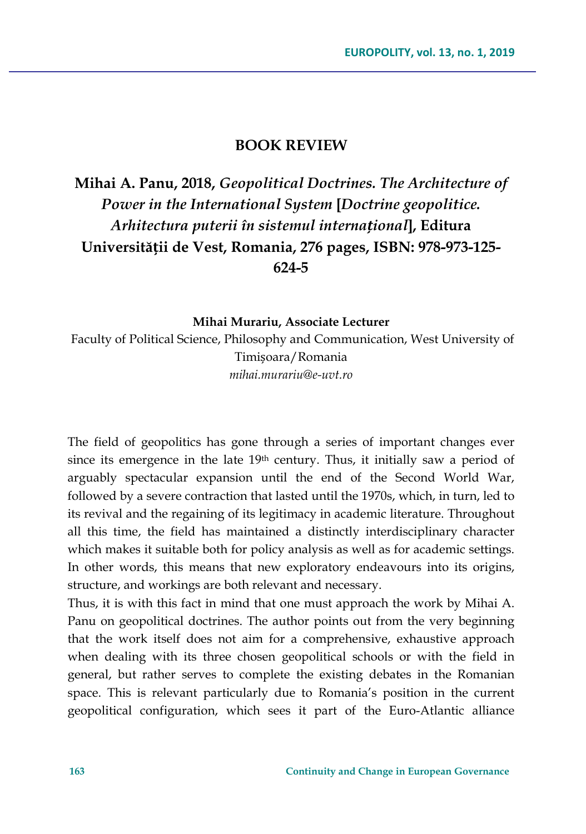## **BOOK REVIEW**

## **Mihai A. Panu, 2018,** *Geopolitical Doctrines. The Architecture of Power in the International System* **[***Doctrine geopolitice. Arhitectura puterii în sistemul internațional***], Editura Universității de Vest, Romania, 276 pages, ISBN: 978-973-125- 624-5**

## **Mihai Murariu, Associate Lecturer**

Faculty of Political Science, Philosophy and Communication, West University of Timișoara/Romania *mihai.murariu@e-uvt.ro*

The field of geopolitics has gone through a series of important changes ever since its emergence in the late 19<sup>th</sup> century. Thus, it initially saw a period of arguably spectacular expansion until the end of the Second World War, followed by a severe contraction that lasted until the 1970s, which, in turn, led to its revival and the regaining of its legitimacy in academic literature. Throughout all this time, the field has maintained a distinctly interdisciplinary character which makes it suitable both for policy analysis as well as for academic settings. In other words, this means that new exploratory endeavours into its origins, structure, and workings are both relevant and necessary.

Thus, it is with this fact in mind that one must approach the work by Mihai A. Panu on geopolitical doctrines. The author points out from the very beginning that the work itself does not aim for a comprehensive, exhaustive approach when dealing with its three chosen geopolitical schools or with the field in general, but rather serves to complete the existing debates in the Romanian space. This is relevant particularly due to Romania's position in the current geopolitical configuration, which sees it part of the Euro-Atlantic alliance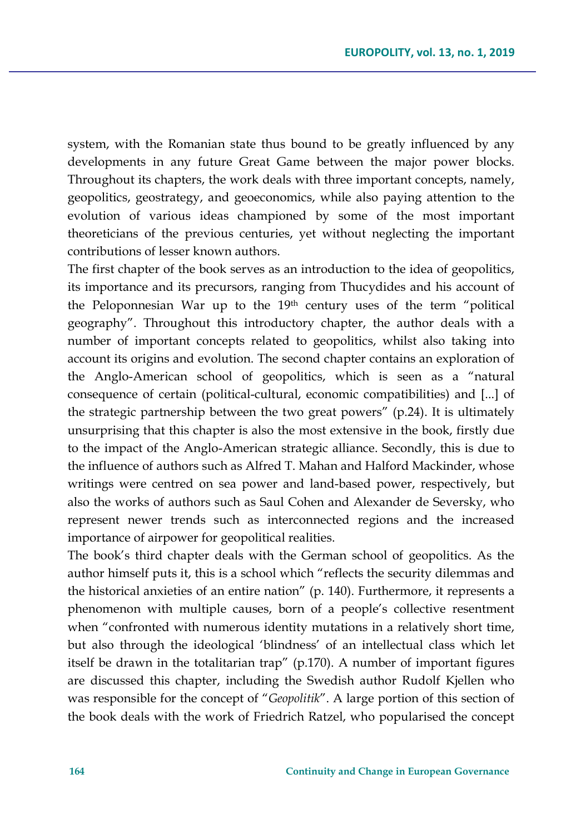system, with the Romanian state thus bound to be greatly influenced by any developments in any future Great Game between the major power blocks. Throughout its chapters, the work deals with three important concepts, namely, geopolitics, geostrategy, and geoeconomics, while also paying attention to the evolution of various ideas championed by some of the most important theoreticians of the previous centuries, yet without neglecting the important contributions of lesser known authors.

The first chapter of the book serves as an introduction to the idea of geopolitics, its importance and its precursors, ranging from Thucydides and his account of the Peloponnesian War up to the 19th century uses of the term "political geography". Throughout this introductory chapter, the author deals with a number of important concepts related to geopolitics, whilst also taking into account its origins and evolution. The second chapter contains an exploration of the Anglo-American school of geopolitics, which is seen as a "natural consequence of certain (political-cultural, economic compatibilities) and [...] of the strategic partnership between the two great powers" (p.24). It is ultimately unsurprising that this chapter is also the most extensive in the book, firstly due to the impact of the Anglo-American strategic alliance. Secondly, this is due to the influence of authors such as Alfred T. Mahan and Halford Mackinder, whose writings were centred on sea power and land-based power, respectively, but also the works of authors such as Saul Cohen and Alexander de Seversky, who represent newer trends such as interconnected regions and the increased importance of airpower for geopolitical realities.

The book's third chapter deals with the German school of geopolitics. As the author himself puts it, this is a school which "reflects the security dilemmas and the historical anxieties of an entire nation" (p. 140). Furthermore, it represents a phenomenon with multiple causes, born of a people's collective resentment when "confronted with numerous identity mutations in a relatively short time, but also through the ideological 'blindness' of an intellectual class which let itself be drawn in the totalitarian trap" (p.170). A number of important figures are discussed this chapter, including the Swedish author Rudolf Kjellen who was responsible for the concept of "*Geopolitik*". A large portion of this section of the book deals with the work of Friedrich Ratzel, who popularised the concept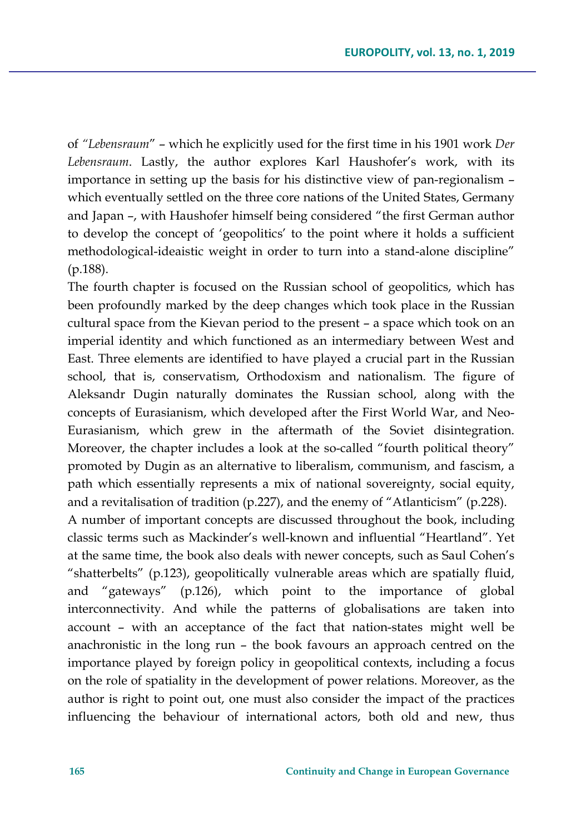of *"Lebensraum*" – which he explicitly used for the first time in his 1901 work *Der Lebensraum*. Lastly, the author explores Karl Haushofer's work, with its importance in setting up the basis for his distinctive view of pan-regionalism – which eventually settled on the three core nations of the United States, Germany and Japan –, with Haushofer himself being considered "the first German author to develop the concept of 'geopolitics' to the point where it holds a sufficient methodological-ideaistic weight in order to turn into a stand-alone discipline" (p.188).

The fourth chapter is focused on the Russian school of geopolitics, which has been profoundly marked by the deep changes which took place in the Russian cultural space from the Kievan period to the present – a space which took on an imperial identity and which functioned as an intermediary between West and East. Three elements are identified to have played a crucial part in the Russian school, that is, conservatism, Orthodoxism and nationalism. The figure of Aleksandr Dugin naturally dominates the Russian school, along with the concepts of Eurasianism, which developed after the First World War, and Neo-Eurasianism, which grew in the aftermath of the Soviet disintegration. Moreover, the chapter includes a look at the so-called "fourth political theory" promoted by Dugin as an alternative to liberalism, communism, and fascism, a path which essentially represents a mix of national sovereignty, social equity, and a revitalisation of tradition (p.227), and the enemy of "Atlanticism" (p.228).

A number of important concepts are discussed throughout the book, including classic terms such as Mackinder's well-known and influential "Heartland". Yet at the same time, the book also deals with newer concepts, such as Saul Cohen's "shatterbelts" (p.123), geopolitically vulnerable areas which are spatially fluid, and "gateways" (p.126), which point to the importance of global interconnectivity. And while the patterns of globalisations are taken into account – with an acceptance of the fact that nation-states might well be anachronistic in the long run – the book favours an approach centred on the importance played by foreign policy in geopolitical contexts, including a focus on the role of spatiality in the development of power relations. Moreover, as the author is right to point out, one must also consider the impact of the practices influencing the behaviour of international actors, both old and new, thus